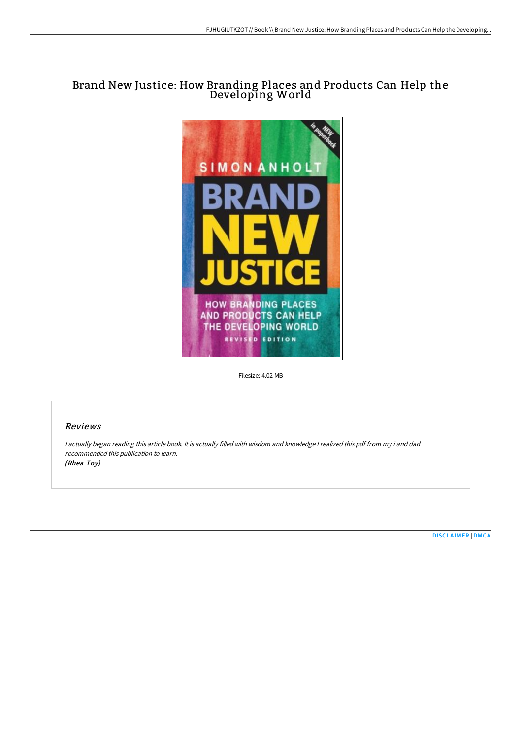# Brand New Justice: How Branding Places and Products Can Help the Developing World



Filesize: 4.02 MB

## Reviews

<sup>I</sup> actually began reading this article book. It is actually filled with wisdom and knowledge <sup>I</sup> realized this pdf from my i and dad recommended this publication to learn. (Rhea Toy)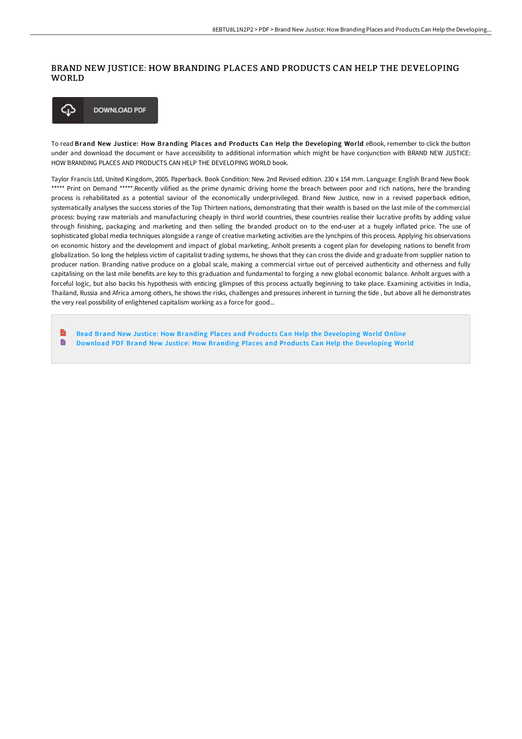## BRAND NEW JUSTICE: HOW BRANDING PLACES AND PRODUCTS CAN HELP THE DEVELOPING WORLD



To read Brand New Justice: How Branding Places and Products Can Help the Developing World eBook, remember to click the button under and download the document or have accessibility to additional information which might be have conjunction with BRAND NEW JUSTICE: HOW BRANDING PLACES AND PRODUCTS CAN HELP THE DEVELOPING WORLD book.

Taylor Francis Ltd, United Kingdom, 2005. Paperback. Book Condition: New. 2nd Revised edition. 230 x 154 mm. Language: English Brand New Book \*\*\*\*\* Print on Demand \*\*\*\*\*.Recently vilified as the prime dynamic driving home the breach between poor and rich nations, here the branding process is rehabilitated as a potential saviour of the economically underprivileged. Brand New Justice, now in a revised paperback edition, systematically analyses the success stories of the Top Thirteen nations, demonstrating that their wealth is based on the last mile of the commercial process: buying raw materials and manufacturing cheaply in third world countries, these countries realise their lucrative profits by adding value through finishing, packaging and marketing and then selling the branded product on to the end-user at a hugely inflated price. The use of sophisticated global media techniques alongside a range of creative marketing activities are the lynchpins of this process. Applying his observations on economic history and the development and impact of global marketing, Anholt presents a cogent plan for developing nations to benefit from globalization. So long the helpless victim of capitalist trading systems, he shows that they can cross the divide and graduate from supplier nation to producer nation. Branding native produce on a global scale, making a commercial virtue out of perceived authenticity and otherness and fully capitalising on the last mile benefits are key to this graduation and fundamental to forging a new global economic balance. Anholt argues with a forceful logic, but also backs his hypothesis with enticing glimpses of this process actually beginning to take place. Examining activities in India, Thailand, Russia and Africa among others, he shows the risks, challenges and pressures inherent in turning the tide , but above all he demonstrates the very real possibility of enlightened capitalism working as a force for good...

 $\mathbf{m}$ Read Brand New Justice: How Branding Places and Products Can Help the [Developing](http://techno-pub.tech/brand-new-justice-how-branding-places-and-produc.html) World Online B Download PDF Brand New Justice: How Branding Places and Products Can Help the [Developing](http://techno-pub.tech/brand-new-justice-how-branding-places-and-produc.html) World